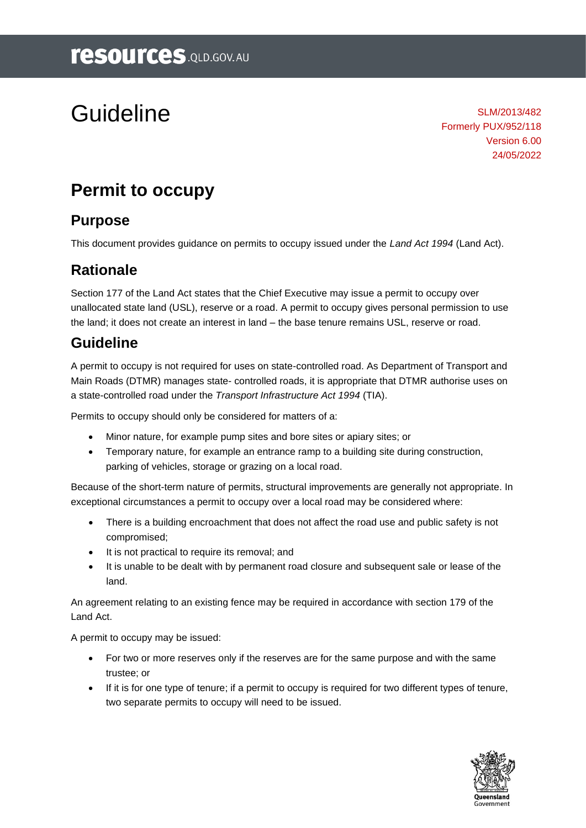# Guideline

SLM/2013/482 Formerly PUX/952/118 Version 6.00 24/05/2022

# **Permit to occupy**

### **Purpose**

This document provides guidance on permits to occupy issued under the *Land Act 1994* (Land Act).

### **Rationale**

Section 177 of the Land Act states that the Chief Executive may issue a permit to occupy over unallocated state land (USL), reserve or a road. A permit to occupy gives personal permission to use the land; it does not create an interest in land – the base tenure remains USL, reserve or road.

### **Guideline**

A permit to occupy is not required for uses on state-controlled road. As Department of Transport and Main Roads (DTMR) manages state- controlled roads, it is appropriate that DTMR authorise uses on a state-controlled road under the *Transport Infrastructure Act 1994* (TIA).

Permits to occupy should only be considered for matters of a:

- Minor nature, for example pump sites and bore sites or apiary sites; or
- Temporary nature, for example an entrance ramp to a building site during construction, parking of vehicles, storage or grazing on a local road.

Because of the short-term nature of permits, structural improvements are generally not appropriate. In exceptional circumstances a permit to occupy over a local road may be considered where:

- There is a building encroachment that does not affect the road use and public safety is not compromised;
- It is not practical to require its removal; and
- It is unable to be dealt with by permanent road closure and subsequent sale or lease of the land.

An agreement relating to an existing fence may be required in accordance with section 179 of the Land Act.

A permit to occupy may be issued:

- For two or more reserves only if the reserves are for the same purpose and with the same trustee; or
- If it is for one type of tenure; if a permit to occupy is required for two different types of tenure, two separate permits to occupy will need to be issued.

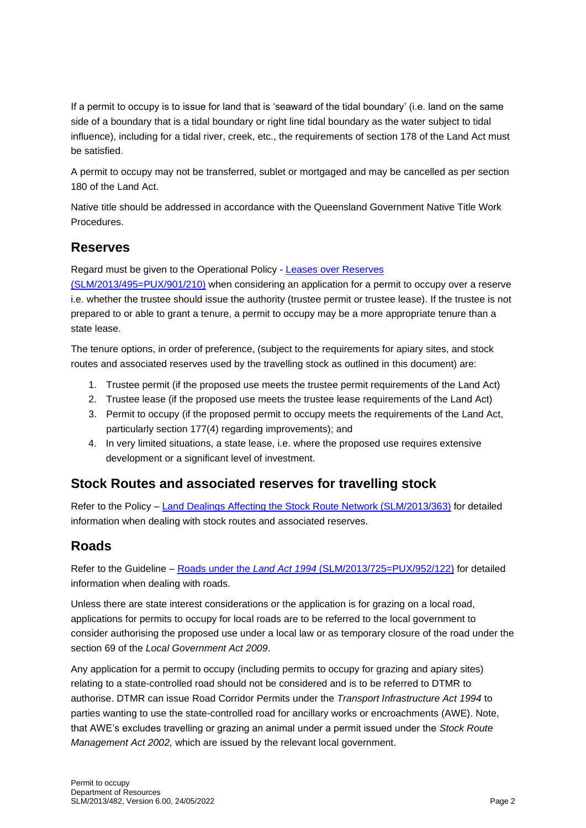If a permit to occupy is to issue for land that is 'seaward of the tidal boundary' (i.e. land on the same side of a boundary that is a tidal boundary or right line tidal boundary as the water subject to tidal influence), including for a tidal river, creek, etc., the requirements of section 178 of the Land Act must be satisfied.

A permit to occupy may not be transferred, sublet or mortgaged and may be cancelled as per section 180 of the Land Act.

Native title should be addressed in accordance with the Queensland Government Native Title Work Procedures.

#### **Reserves**

Regard must be given to the Operational Policy - [Leases over Reserves](https://www.resources.qld.gov.au/?a=109113:policy_registry/leases-over-reserves.pdf&ver=4.02) 

[\(SLM/2013/495=PUX/901/210\)](https://www.resources.qld.gov.au/?a=109113:policy_registry/leases-over-reserves.pdf&ver=4.02) when considering an application for a permit to occupy over a reserve i.e. whether the trustee should issue the authority (trustee permit or trustee lease). If the trustee is not prepared to or able to grant a tenure, a permit to occupy may be a more appropriate tenure than a state lease.

The tenure options, in order of preference, (subject to the requirements for apiary sites, and stock routes and associated reserves used by the travelling stock as outlined in this document) are:

- 1. Trustee permit (if the proposed use meets the trustee permit requirements of the Land Act)
- 2. Trustee lease (if the proposed use meets the trustee lease requirements of the Land Act)
- 3. Permit to occupy (if the proposed permit to occupy meets the requirements of the Land Act, particularly section 177(4) regarding improvements); and
- 4. In very limited situations, a state lease, i.e. where the proposed use requires extensive development or a significant level of investment.

#### **Stock Routes and associated reserves for travelling stock**

Refer to the Policy – Land Dealings [Affecting the Stock Route Network \(SLM/2013/363\)](https://www.resources.qld.gov.au/?a=109113:policy_registry/land-dealings-affecting-the-stock-route-network.pdf&ver=6.00) for detailed information when dealing with stock routes and associated reserves.

#### **Roads**

Refer to the Guideline – Roads under the *Land Act 1994* [\(SLM/2013/725=PUX/952/122\)](https://www.resources.qld.gov.au/?a=109113:policy_registry/roads-under-land-act.pdf&ver=5.00) for detailed information when dealing with roads.

Unless there are state interest considerations or the application is for grazing on a local road, applications for permits to occupy for local roads are to be referred to the local government to consider authorising the proposed use under a local law or as temporary closure of the road under the section 69 of the *Local Government Act 2009*.

Any application for a permit to occupy (including permits to occupy for grazing and apiary sites) relating to a state-controlled road should not be considered and is to be referred to DTMR to authorise. DTMR can issue Road Corridor Permits under the *Transport Infrastructure Act 1994* to parties wanting to use the state-controlled road for ancillary works or encroachments (AWE). Note, that AWE's excludes travelling or grazing an animal under a permit issued under the *Stock Route Management Act 2002,* which are issued by the relevant local government.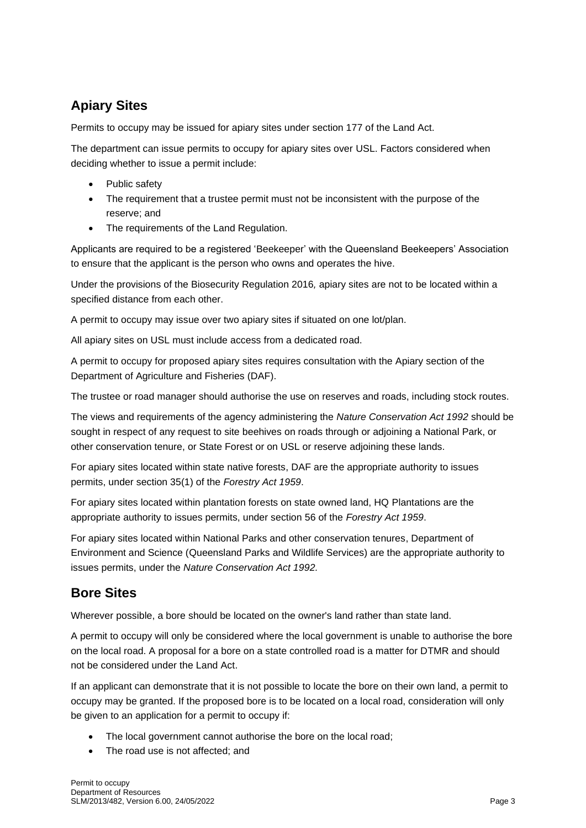### **Apiary Sites**

Permits to occupy may be issued for apiary sites under section 177 of the Land Act.

The department can issue permits to occupy for apiary sites over USL. Factors considered when deciding whether to issue a permit include:

- Public safety
- The requirement that a trustee permit must not be inconsistent with the purpose of the reserve; and
- The requirements of the Land Regulation.

Applicants are required to be a registered 'Beekeeper' with the Queensland Beekeepers' Association to ensure that the applicant is the person who owns and operates the hive.

Under the provisions of the Biosecurity Regulation 2016*,* apiary sites are not to be located within a specified distance from each other.

A permit to occupy may issue over two apiary sites if situated on one lot/plan.

All apiary sites on USL must include access from a dedicated road.

A permit to occupy for proposed apiary sites requires consultation with the Apiary section of the Department of Agriculture and Fisheries (DAF).

The trustee or road manager should authorise the use on reserves and roads, including stock routes.

The views and requirements of the agency administering the *Nature Conservation Act 1992* should be sought in respect of any request to site beehives on roads through or adjoining a National Park, or other conservation tenure, or State Forest or on USL or reserve adjoining these lands.

For apiary sites located within state native forests, DAF are the appropriate authority to issues permits, under section 35(1) of the *Forestry Act 1959*.

For apiary sites located within plantation forests on state owned land, HQ Plantations are the appropriate authority to issues permits, under section 56 of the *Forestry Act 1959*.

For apiary sites located within National Parks and other conservation tenures, Department of Environment and Science (Queensland Parks and Wildlife Services) are the appropriate authority to issues permits, under the *Nature Conservation Act 1992.*

### **Bore Sites**

Wherever possible, a bore should be located on the owner's land rather than state land.

A permit to occupy will only be considered where the local government is unable to authorise the bore on the local road. A proposal for a bore on a state controlled road is a matter for DTMR and should not be considered under the Land Act.

If an applicant can demonstrate that it is not possible to locate the bore on their own land, a permit to occupy may be granted. If the proposed bore is to be located on a local road, consideration will only be given to an application for a permit to occupy if:

- The local government cannot authorise the bore on the local road;
- The road use is not affected; and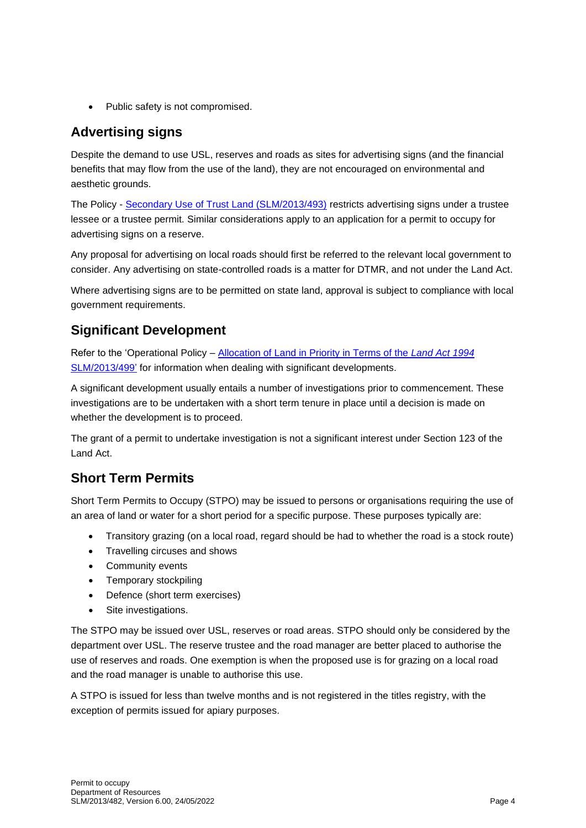• Public safety is not compromised.

### **Advertising signs**

Despite the demand to use USL, reserves and roads as sites for advertising signs (and the financial benefits that may flow from the use of the land), they are not encouraged on environmental and aesthetic grounds.

The Policy - [Secondary Use of Trust Land \(SLM/2013/493\)](https://www.resources.qld.gov.au/?a=109113:policy_registry/secondary-use-of-trust-land.pdf&ver=6.01) restricts advertising signs under a trustee lessee or a trustee permit. Similar considerations apply to an application for a permit to occupy for advertising signs on a reserve.

Any proposal for advertising on local roads should first be referred to the relevant local government to consider. Any advertising on state-controlled roads is a matter for DTMR, and not under the Land Act.

Where advertising signs are to be permitted on state land, approval is subject to compliance with local government requirements.

### **Significant Development**

Refer to the 'Operational Policy – [Allocation of Land in Priority in Terms of the](https://www.resources.qld.gov.au/?a=109113:policy_registry/allocation-land-in-priority.pdf&ver=) *Land Act 1994* [SLM/2013/499'](https://www.resources.qld.gov.au/?a=109113:policy_registry/allocation-land-in-priority.pdf&ver=) for information when dealing with significant developments.

A significant development usually entails a number of investigations prior to commencement. These investigations are to be undertaken with a short term tenure in place until a decision is made on whether the development is to proceed.

The grant of a permit to undertake investigation is not a significant interest under Section 123 of the Land Act.

### **Short Term Permits**

Short Term Permits to Occupy (STPO) may be issued to persons or organisations requiring the use of an area of land or water for a short period for a specific purpose. These purposes typically are:

- Transitory grazing (on a local road, regard should be had to whether the road is a stock route)
- Travelling circuses and shows
- Community events
- Temporary stockpiling
- Defence (short term exercises)
- Site investigations.

The STPO may be issued over USL, reserves or road areas. STPO should only be considered by the department over USL. The reserve trustee and the road manager are better placed to authorise the use of reserves and roads. One exemption is when the proposed use is for grazing on a local road and the road manager is unable to authorise this use.

A STPO is issued for less than twelve months and is not registered in the titles registry, with the exception of permits issued for apiary purposes.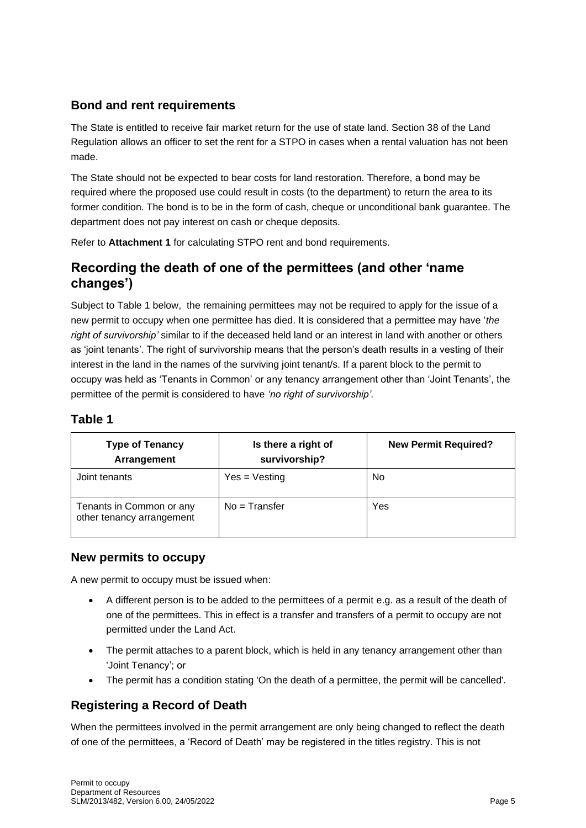#### **Bond and rent requirements**

The State is entitled to receive fair market return for the use of state land. Section 38 of the Land Regulation allows an officer to set the rent for a STPO in cases when a rental valuation has not been made.

The State should not be expected to bear costs for land restoration. Therefore, a bond may be required where the proposed use could result in costs (to the department) to return the area to its former condition. The bond is to be in the form of cash, cheque or unconditional bank guarantee. The department does not pay interest on cash or cheque deposits.

Refer to **Attachment 1** for calculating STPO rent and bond requirements.

#### **Recording the death of one of the permittees (and other 'name changes')**

Subject to Table 1 below, the remaining permittees may not be required to apply for the issue of a new permit to occupy when one permittee has died. It is considered that a permittee may have '*the right of survivorship'* similar to if the deceased held land or an interest in land with another or others as 'joint tenants'. The right of survivorship means that the person's death results in a vesting of their interest in the land in the names of the surviving joint tenant/s. If a parent block to the permit to occupy was held as 'Tenants in Common' or any tenancy arrangement other than 'Joint Tenants', the permittee of the permit is considered to have *'no right of survivorship'.* 

#### **Table 1**

| <b>Type of Tenancy</b><br>Arrangement                 | Is there a right of<br>survivorship? | <b>New Permit Required?</b> |
|-------------------------------------------------------|--------------------------------------|-----------------------------|
| Joint tenants                                         | $Yes = Vesting$                      | No                          |
| Tenants in Common or any<br>other tenancy arrangement | $No = Transfer$                      | Yes                         |

#### **New permits to occupy**

A new permit to occupy must be issued when:

- A different person is to be added to the permittees of a permit e.g. as a result of the death of one of the permittees. This in effect is a transfer and transfers of a permit to occupy are not permitted under the Land Act.
- The permit attaches to a parent block, which is held in any tenancy arrangement other than 'Joint Tenancy'; or
- The permit has a condition stating 'On the death of a permittee, the permit will be cancelled'.

#### **Registering a Record of Death**

When the permittees involved in the permit arrangement are only being changed to reflect the death of one of the permittees, a 'Record of Death' may be registered in the titles registry. This is not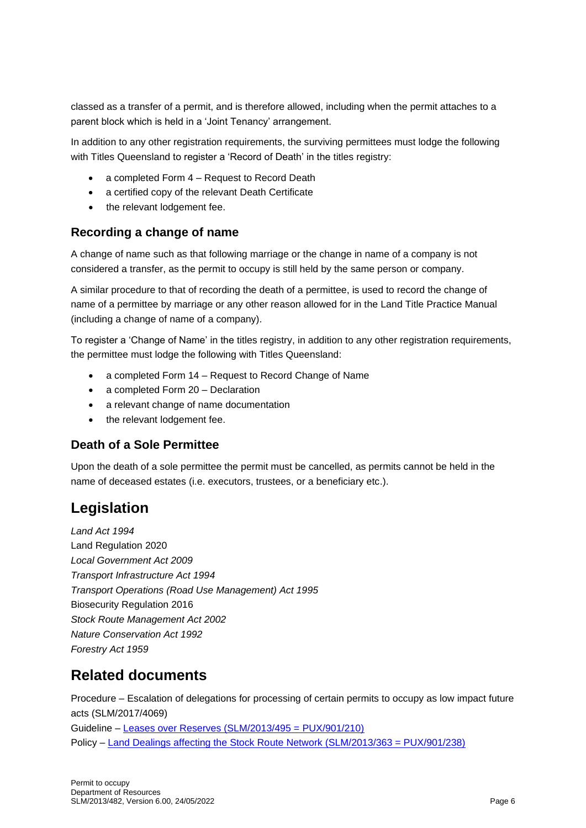classed as a transfer of a permit, and is therefore allowed, including when the permit attaches to a parent block which is held in a 'Joint Tenancy' arrangement.

In addition to any other registration requirements, the surviving permittees must lodge the following with Titles Queensland to register a 'Record of Death' in the titles registry:

- a completed Form 4 Request to Record Death
- a certified copy of the relevant Death Certificate
- the relevant lodgement fee.

#### **Recording a change of name**

A change of name such as that following marriage or the change in name of a company is not considered a transfer, as the permit to occupy is still held by the same person or company.

A similar procedure to that of recording the death of a permittee, is used to record the change of name of a permittee by marriage or any other reason allowed for in the Land Title Practice Manual (including a change of name of a company).

To register a 'Change of Name' in the titles registry, in addition to any other registration requirements, the permittee must lodge the following with Titles Queensland:

- a completed Form 14 Request to Record Change of Name
- a completed Form 20 Declaration
- a relevant change of name documentation
- the relevant lodgement fee.

#### **Death of a Sole Permittee**

Upon the death of a sole permittee the permit must be cancelled, as permits cannot be held in the name of deceased estates (i.e. executors, trustees, or a beneficiary etc.).

### **Legislation**

*Land Act 1994* Land Regulation 2020 *Local Government Act 2009 Transport Infrastructure Act 1994 Transport Operations (Road Use Management) Act 1995* Biosecurity Regulation 2016 *Stock Route Management Act 2002 Nature Conservation Act 1992 Forestry Act 1959*

### **Related documents**

Procedure – Escalation of delegations for processing of certain permits to occupy as low impact future acts (SLM/2017/4069) Guideline – [Leases over Reserves \(SLM/2013/495 = PUX/901/210\)](https://www.resources.qld.gov.au/?a=109113:policy_registry/leases-over-reserves.pdf&ver=4.02) Policy – [Land Dealings affecting the Stock Route Network \(SLM/2013/363 = PUX/901/238\)](https://www.resources.qld.gov.au/?a=109113:policy_registry/land-dealings-affecting-the-stock-route-network.pdf&ver=6.00)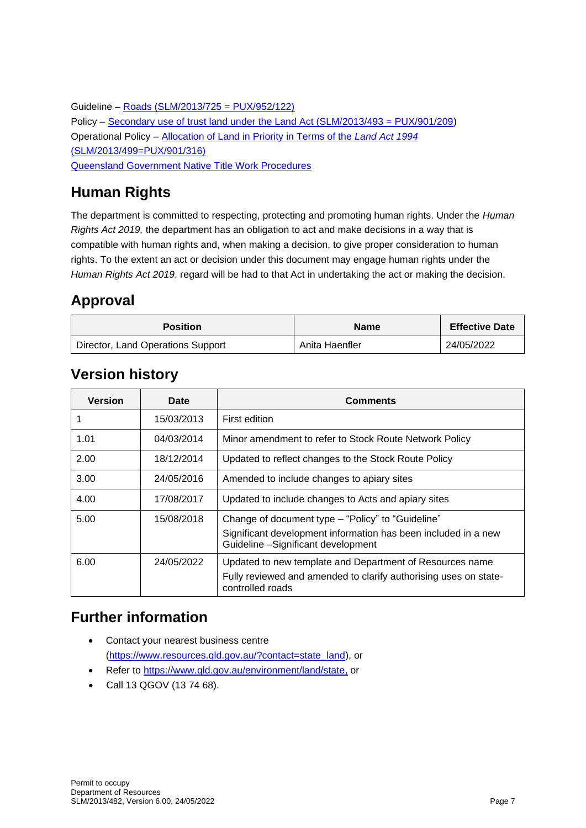Guideline – [Roads \(SLM/2013/725 = PUX/952/122\)](https://www.resources.qld.gov.au/?a=109113:policy_registry/roads-under-land-act.pdf&ver=5.00) Policy – [Secondary use of trust land under the Land Act \(SLM/2013/493 = PUX/901/209\)](https://www.resources.qld.gov.au/?a=109113:policy_registry/secondary-use-of-trust-land.pdf&ver=6.01) Operational Policy – [Allocation of Land in Priority in Terms of the](https://www.resources.qld.gov.au/?a=109113:policy_registry/allocation-land-in-priority.pdf&ver=4.01) *Land Act 1994* [\(SLM/2013/499=PUX/901/316\)](https://www.resources.qld.gov.au/?a=109113:policy_registry/allocation-land-in-priority.pdf&ver=4.01) [Queensland Government Native Title Work Procedures](https://www.resources.qld.gov.au/qld/atsi/native-title-work-procedures/work-procedures)

## **Human Rights**

The department is committed to respecting, protecting and promoting human rights. Under the *Human Rights Act 2019,* the department has an obligation to act and make decisions in a way that is compatible with human rights and, when making a decision, to give proper consideration to human rights. To the extent an act or decision under this document may engage human rights under the *Human Rights Act 2019*, regard will be had to that Act in undertaking the act or making the decision.

### **Approval**

| <b>Position</b>                   | <b>Name</b>    | <b>Effective Date</b> |
|-----------------------------------|----------------|-----------------------|
| Director, Land Operations Support | Anita Haenfler | 24/05/2022            |

### **Version history**

| Version | Date       | Comments                                                                                                                                                  |
|---------|------------|-----------------------------------------------------------------------------------------------------------------------------------------------------------|
|         | 15/03/2013 | First edition                                                                                                                                             |
| 1.01    | 04/03/2014 | Minor amendment to refer to Stock Route Network Policy                                                                                                    |
| 2.00    | 18/12/2014 | Updated to reflect changes to the Stock Route Policy                                                                                                      |
| 3.00    | 24/05/2016 | Amended to include changes to apiary sites                                                                                                                |
| 4.00    | 17/08/2017 | Updated to include changes to Acts and apiary sites                                                                                                       |
| 5.00    | 15/08/2018 | Change of document type - "Policy" to "Guideline"<br>Significant development information has been included in a new<br>Guideline -Significant development |
| 6.00    | 24/05/2022 | Updated to new template and Department of Resources name<br>Fully reviewed and amended to clarify authorising uses on state-<br>controlled roads          |

### **Further information**

- Contact your nearest business centre [\(https://www.resources.qld.gov.au/?contact=state\\_land\)](https://www.resources.qld.gov.au/?contact=state_land), or
- Refer to [https://www.qld.gov.au/environment/land/state,](https://www.qld.gov.au/environment/land/state) or
- Call 13 QGOV (13 74 68).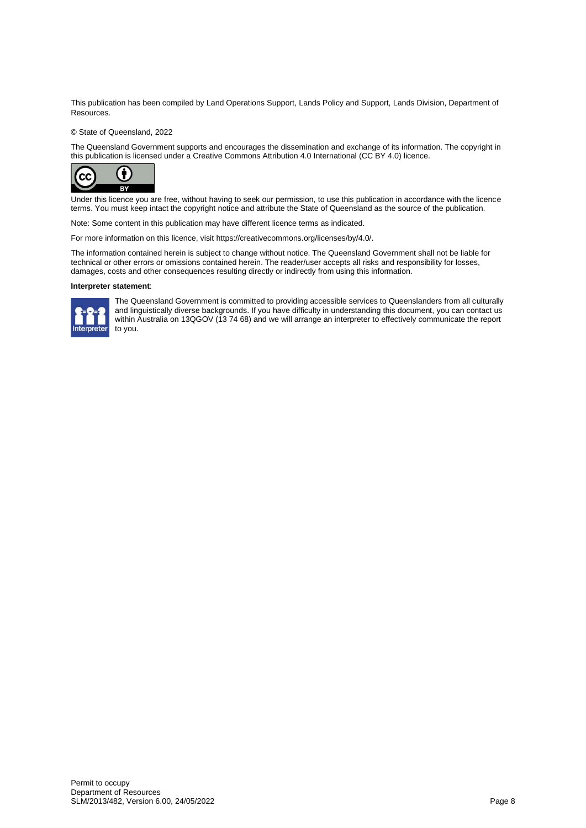This publication has been compiled by Land Operations Support, Lands Policy and Support, Lands Division, Department of Resources.

#### © State of Queensland, 2022

The Queensland Government supports and encourages the dissemination and exchange of its information. The copyright in this publication is licensed under a Creative Commons Attribution 4.0 International (CC BY 4.0) licence.



Under this licence you are free, without having to seek our permission, to use this publication in accordance with the licence terms. You must keep intact the copyright notice and attribute the State of Queensland as the source of the publication.

Note: Some content in this publication may have different licence terms as indicated.

For more information on this licence, visit https://creativecommons.org/licenses/by/4.0/.

The information contained herein is subject to change without notice. The Queensland Government shall not be liable for technical or other errors or omissions contained herein. The reader/user accepts all risks and responsibility for losses, damages, costs and other consequences resulting directly or indirectly from using this information.

#### **Interpreter statement**:



The Queensland Government is committed to providing accessible services to Queenslanders from all culturally and linguistically diverse backgrounds. If you have difficulty in understanding this document, you can contact us within Australia on 13QGOV (13 74 68) and we will arrange an interpreter to effectively communicate the report to you.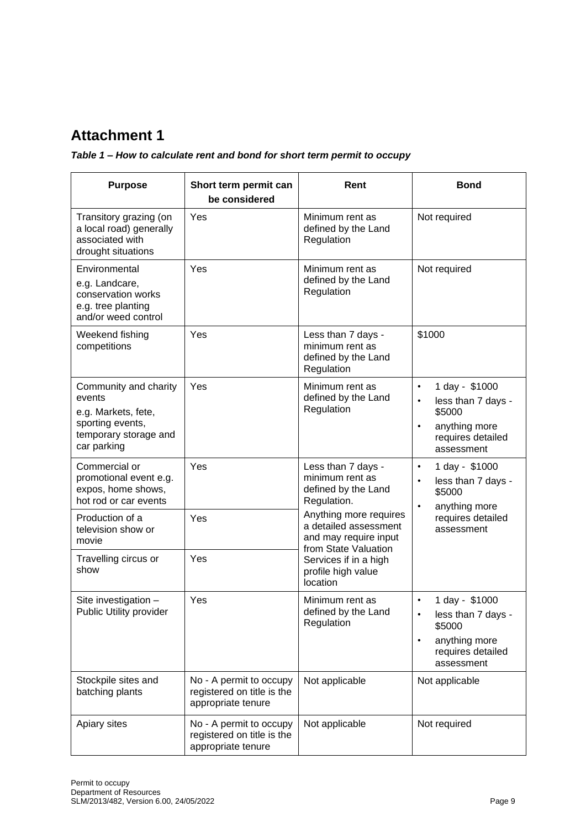### **Attachment 1**

#### *Table 1 – How to calculate rent and bond for short term permit to occupy*

| <b>Purpose</b>                                                                                                     | Short term permit can<br>be considered                                      | Rent                                                                                                                                                                            | <b>Bond</b>                                                                                                                               |  |
|--------------------------------------------------------------------------------------------------------------------|-----------------------------------------------------------------------------|---------------------------------------------------------------------------------------------------------------------------------------------------------------------------------|-------------------------------------------------------------------------------------------------------------------------------------------|--|
| Transitory grazing (on<br>a local road) generally<br>associated with<br>drought situations                         | Yes                                                                         | Minimum rent as<br>defined by the Land<br>Regulation                                                                                                                            | Not required                                                                                                                              |  |
| Environmental<br>e.g. Landcare,<br>conservation works<br>e.g. tree planting<br>and/or weed control                 | Yes                                                                         | Minimum rent as<br>defined by the Land<br>Regulation                                                                                                                            | Not required                                                                                                                              |  |
| Weekend fishing<br>competitions                                                                                    | Yes                                                                         | Less than 7 days -<br>minimum rent as<br>defined by the Land<br>Regulation                                                                                                      | \$1000                                                                                                                                    |  |
| Community and charity<br>events<br>e.g. Markets, fete,<br>sporting events,<br>temporary storage and<br>car parking | Yes                                                                         | Minimum rent as<br>defined by the Land<br>Regulation                                                                                                                            | 1 day - \$1000<br>$\bullet$<br>less than 7 days -<br>$\bullet$<br>\$5000<br>anything more<br>$\bullet$<br>requires detailed<br>assessment |  |
| Commercial or<br>promotional event e.g.<br>expos, home shows,<br>hot rod or car events                             | Yes                                                                         | Less than 7 days -<br>minimum rent as<br>defined by the Land<br>Regulation.<br>Anything more requires<br>a detailed assessment<br>and may require input<br>from State Valuation | 1 day - \$1000<br>$\bullet$<br>less than 7 days -<br>$\bullet$<br>\$5000<br>anything more                                                 |  |
| Production of a<br>television show or<br>movie                                                                     | Yes                                                                         |                                                                                                                                                                                 | requires detailed<br>assessment                                                                                                           |  |
| Travelling circus or<br>show                                                                                       | Yes                                                                         | Services if in a high<br>profile high value<br>location                                                                                                                         |                                                                                                                                           |  |
| Site investigation -<br>Public Utility provider                                                                    | Yes                                                                         | Minimum rent as<br>defined by the Land<br>Regulation                                                                                                                            | 1 day - \$1000<br>٠<br>less than 7 days -<br>\$5000<br>anything more<br>$\bullet$<br>requires detailed<br>assessment                      |  |
| Stockpile sites and<br>batching plants                                                                             | No - A permit to occupy<br>registered on title is the<br>appropriate tenure | Not applicable                                                                                                                                                                  | Not applicable                                                                                                                            |  |
| Apiary sites                                                                                                       | No - A permit to occupy<br>registered on title is the<br>appropriate tenure | Not applicable                                                                                                                                                                  | Not required                                                                                                                              |  |